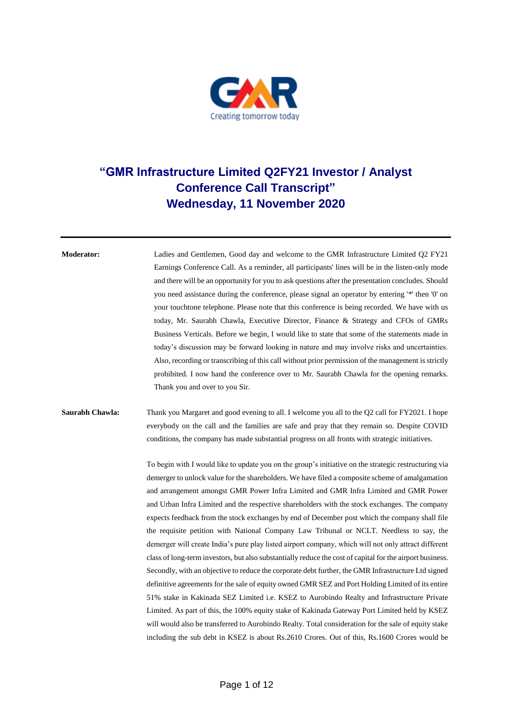

## **"GMR Infrastructure Limited Q2FY21 Investor / Analyst Conference Call Transcript" Wednesday, 11 November 2020**

**Moderator:** Ladies and Gentlemen, Good day and welcome to the GMR Infrastructure Limited Q2 FY21 Earnings Conference Call. As a reminder, all participants' lines will be in the listen-only mode and there will be an opportunity for you to ask questions after the presentation concludes. Should you need assistance during the conference, please signal an operator by entering '\*' then '0' on your touchtone telephone. Please note that this conference is being recorded. We have with us today, Mr. Saurabh Chawla, Executive Director, Finance & Strategy and CFOs of GMRs Business Verticals. Before we begin, I would like to state that some of the statements made in today's discussion may be forward looking in nature and may involve risks and uncertainties. Also, recording or transcribing of this call without prior permission of the management is strictly prohibited. I now hand the conference over to Mr. Saurabh Chawla for the opening remarks. Thank you and over to you Sir.

## **Saurabh Chawla:** Thank you Margaret and good evening to all. I welcome you all to the Q2 call for FY2021. I hope everybody on the call and the families are safe and pray that they remain so. Despite COVID conditions, the company has made substantial progress on all fronts with strategic initiatives.

To begin with I would like to update you on the group's initiative on the strategic restructuring via demerger to unlock value for the shareholders. We have filed a composite scheme of amalgamation and arrangement amongst GMR Power Infra Limited and GMR Infra Limited and GMR Power and Urban Infra Limited and the respective shareholders with the stock exchanges. The company expects feedback from the stock exchanges by end of December post which the company shall file the requisite petition with National Company Law Tribunal or NCLT. Needless to say, the demerger will create India's pure play listed airport company, which will not only attract different class of long-term investors, but also substantially reduce the cost of capital for the airport business. Secondly, with an objective to reduce the corporate debt further, the GMR Infrastructure Ltd signed definitive agreements for the sale of equity owned GMR SEZ and Port Holding Limited of its entire 51% stake in Kakinada SEZ Limited i.e. KSEZ to Aurobindo Realty and Infrastructure Private Limited. As part of this, the 100% equity stake of Kakinada Gateway Port Limited held by KSEZ will would also be transferred to Aurobindo Realty. Total consideration for the sale of equity stake including the sub debt in KSEZ is about Rs.2610 Crores. Out of this, Rs.1600 Crores would be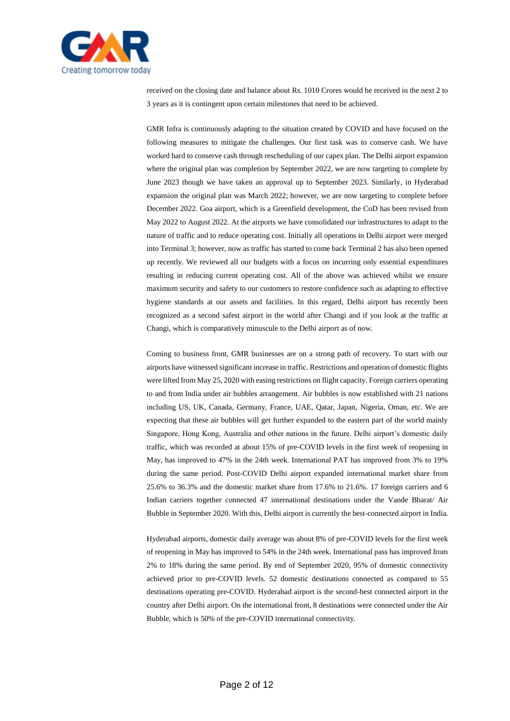

received on the closing date and balance about Rs. 1010 Crores would be received in the next 2 to 3 years as it is contingent upon certain milestones that need to be achieved.

GMR Infra is continuously adapting to the situation created by COVID and have focused on the following measures to mitigate the challenges. Our first task was to conserve cash. We have worked hard to conserve cash through rescheduling of our capex plan. The Delhi airport expansion where the original plan was completion by September 2022, we are now targeting to complete by June 2023 though we have taken an approval up to September 2023. Similarly, in Hyderabad expansion the original plan was March 2022; however, we are now targeting to complete before December 2022. Goa airport, which is a Greenfield development, the CoD has been revised from May 2022 to August 2022. At the airports we have consolidated our infrastructures to adapt to the nature of traffic and to reduce operating cost. Initially all operations in Delhi airport were merged into Terminal 3; however, now as traffic has started to come back Terminal 2 has also been opened up recently. We reviewed all our budgets with a focus on incurring only essential expenditures resulting in reducing current operating cost. All of the above was achieved whilst we ensure maximum security and safety to our customers to restore confidence such as adapting to effective hygiene standards at our assets and facilities. In this regard, Delhi airport has recently been recognized as a second safest airport in the world after Changi and if you look at the traffic at Changi, which is comparatively minuscule to the Delhi airport as of now.

Coming to business front, GMR businesses are on a strong path of recovery. To start with our airports have witnessed significant increase in traffic. Restrictions and operation of domestic flights were lifted from May 25, 2020 with easing restrictions on flight capacity. Foreign carriers operating to and from India under air bubbles arrangement. Air bubbles is now established with 21 nations including US, UK, Canada, Germany, France, UAE, Qatar, Japan, Nigeria, Oman, etc. We are expecting that these air bubbles will get further expanded to the eastern part of the world mainly Singapore, Hong Kong, Australia and other nations in the future. Delhi airport's domestic daily traffic, which was recorded at about 15% of pre-COVID levels in the first week of reopening in May, has improved to 47% in the 24th week. International PAT has improved from 3% to 19% during the same period. Post-COVID Delhi airport expanded international market share from 25.6% to 36.3% and the domestic market share from 17.6% to 21.6%. 17 foreign carriers and 6 Indian carriers together connected 47 international destinations under the Vande Bharat/ Air Bubble in September 2020. With this, Delhi airport is currently the best-connected airport in India.

Hyderabad airports, domestic daily average was about 8% of pre-COVID levels for the first week of reopening in May has improved to 54% in the 24th week. International pass has improved from 2% to 18% during the same period. By end of September 2020, 95% of domestic connectivity achieved prior to pre-COVID levels. 52 domestic destinations connected as compared to 55 destinations operating pre-COVID. Hyderabad airport is the second-best connected airport in the country after Delhi airport. On the international front, 8 destinations were connected under the Air Bubble, which is 50% of the pre-COVID international connectivity.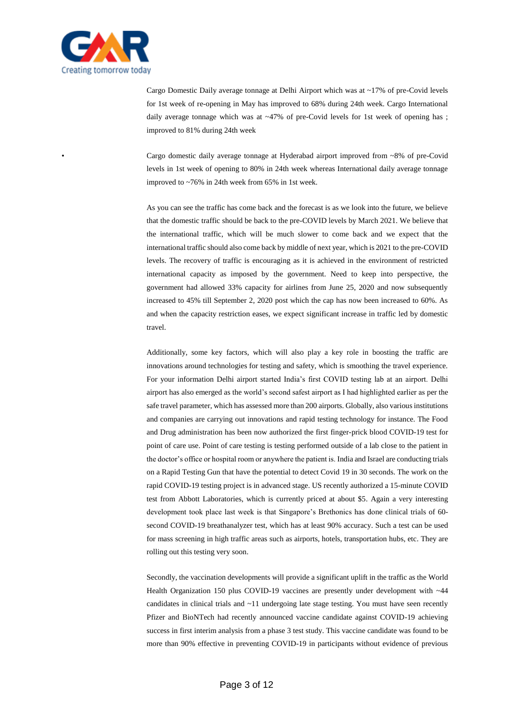

Cargo Domestic Daily average tonnage at Delhi Airport which was at ~17% of pre-Covid levels for 1st week of re-opening in May has improved to 68% during 24th week. Cargo International daily average tonnage which was at ~47% of pre-Covid levels for 1st week of opening has ; improved to 81% during 24th week

• Cargo domestic daily average tonnage at Hyderabad airport improved from ~8% of pre-Covid levels in 1st week of opening to 80% in 24th week whereas International daily average tonnage improved to ~76% in 24th week from 65% in 1st week.

As you can see the traffic has come back and the forecast is as we look into the future, we believe that the domestic traffic should be back to the pre-COVID levels by March 2021. We believe that the international traffic, which will be much slower to come back and we expect that the international traffic should also come back by middle of next year, which is 2021 to the pre-COVID levels. The recovery of traffic is encouraging as it is achieved in the environment of restricted international capacity as imposed by the government. Need to keep into perspective, the government had allowed 33% capacity for airlines from June 25, 2020 and now subsequently increased to 45% till September 2, 2020 post which the cap has now been increased to 60%. As and when the capacity restriction eases, we expect significant increase in traffic led by domestic travel.

Additionally, some key factors, which will also play a key role in boosting the traffic are innovations around technologies for testing and safety, which is smoothing the travel experience. For your information Delhi airport started India's first COVID testing lab at an airport. Delhi airport has also emerged as the world's second safest airport as I had highlighted earlier as per the safe travel parameter, which has assessed more than 200 airports. Globally, also various institutions and companies are carrying out innovations and rapid testing technology for instance. The Food and Drug administration has been now authorized the first finger-prick blood COVID-19 test for point of care use. Point of care testing is testing performed outside of a lab close to the patient in the doctor's office or hospital room or anywhere the patient is. India and Israel are conducting trials on a Rapid Testing Gun that have the potential to detect Covid 19 in 30 seconds. The work on the rapid COVID-19 testing project is in advanced stage. US recently authorized a 15-minute COVID test from Abbott Laboratories, which is currently priced at about \$5. Again a very interesting development took place last week is that Singapore's Brethonics has done clinical trials of 60 second COVID-19 breathanalyzer test, which has at least 90% accuracy. Such a test can be used for mass screening in high traffic areas such as airports, hotels, transportation hubs, etc. They are rolling out this testing very soon.

Secondly, the vaccination developments will provide a significant uplift in the traffic as the World Health Organization 150 plus COVID-19 vaccines are presently under development with ~44 candidates in clinical trials and ~11 undergoing late stage testing. You must have seen recently Pfizer and BioNTech had recently announced vaccine candidate against COVID-19 achieving success in first interim analysis from a phase 3 test study. This vaccine candidate was found to be more than 90% effective in preventing COVID-19 in participants without evidence of previous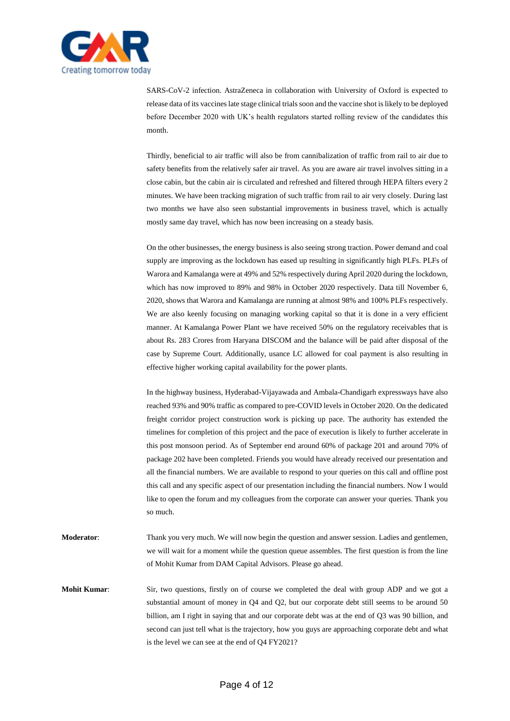

SARS-CoV-2 infection. AstraZeneca in collaboration with University of Oxford is expected to release data of its vaccines late stage clinical trials soon and the vaccine shot is likely to be deployed before December 2020 with UK's health regulators started rolling review of the candidates this month.

Thirdly, beneficial to air traffic will also be from cannibalization of traffic from rail to air due to safety benefits from the relatively safer air travel. As you are aware air travel involves sitting in a close cabin, but the cabin air is circulated and refreshed and filtered through HEPA filters every 2 minutes. We have been tracking migration of such traffic from rail to air very closely. During last two months we have also seen substantial improvements in business travel, which is actually mostly same day travel, which has now been increasing on a steady basis.

On the other businesses, the energy business is also seeing strong traction. Power demand and coal supply are improving as the lockdown has eased up resulting in significantly high PLFs. PLFs of Warora and Kamalanga were at 49% and 52% respectively during April 2020 during the lockdown, which has now improved to 89% and 98% in October 2020 respectively. Data till November 6, 2020, shows that Warora and Kamalanga are running at almost 98% and 100% PLFs respectively. We are also keenly focusing on managing working capital so that it is done in a very efficient manner. At Kamalanga Power Plant we have received 50% on the regulatory receivables that is about Rs. 283 Crores from Haryana DISCOM and the balance will be paid after disposal of the case by Supreme Court. Additionally, usance LC allowed for coal payment is also resulting in effective higher working capital availability for the power plants.

In the highway business, Hyderabad-Vijayawada and Ambala-Chandigarh expressways have also reached 93% and 90% traffic as compared to pre-COVID levels in October 2020. On the dedicated freight corridor project construction work is picking up pace. The authority has extended the timelines for completion of this project and the pace of execution is likely to further accelerate in this post monsoon period. As of September end around 60% of package 201 and around 70% of package 202 have been completed. Friends you would have already received our presentation and all the financial numbers. We are available to respond to your queries on this call and offline post this call and any specific aspect of our presentation including the financial numbers. Now I would like to open the forum and my colleagues from the corporate can answer your queries. Thank you so much.

**Moderator**: Thank you very much. We will now begin the question and answer session. Ladies and gentlemen, we will wait for a moment while the question queue assembles. The first question is from the line of Mohit Kumar from DAM Capital Advisors. Please go ahead.

**Mohit Kumar:** Sir, two questions, firstly on of course we completed the deal with group ADP and we got a substantial amount of money in Q4 and Q2, but our corporate debt still seems to be around 50 billion, am I right in saying that and our corporate debt was at the end of Q3 was 90 billion, and second can just tell what is the trajectory, how you guys are approaching corporate debt and what is the level we can see at the end of Q4 FY2021?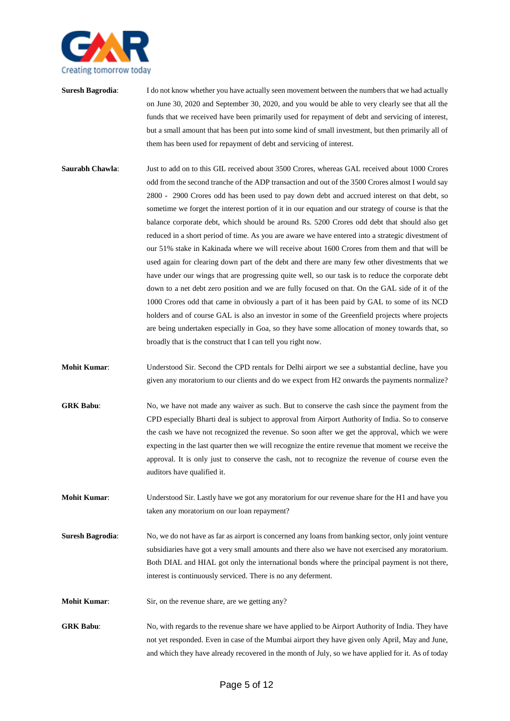

- **Suresh Bagrodia:** I do not know whether you have actually seen movement between the numbers that we had actually on June 30, 2020 and September 30, 2020, and you would be able to very clearly see that all the funds that we received have been primarily used for repayment of debt and servicing of interest, but a small amount that has been put into some kind of small investment, but then primarily all of them has been used for repayment of debt and servicing of interest.
- **Saurabh Chawla**: Just to add on to this GIL received about 3500 Crores, whereas GAL received about 1000 Crores odd from the second tranche of the ADP transaction and out of the 3500 Crores almost I would say 2800 - 2900 Crores odd has been used to pay down debt and accrued interest on that debt, so sometime we forget the interest portion of it in our equation and our strategy of course is that the balance corporate debt, which should be around Rs. 5200 Crores odd debt that should also get reduced in a short period of time. As you are aware we have entered into a strategic divestment of our 51% stake in Kakinada where we will receive about 1600 Crores from them and that will be used again for clearing down part of the debt and there are many few other divestments that we have under our wings that are progressing quite well, so our task is to reduce the corporate debt down to a net debt zero position and we are fully focused on that. On the GAL side of it of the 1000 Crores odd that came in obviously a part of it has been paid by GAL to some of its NCD holders and of course GAL is also an investor in some of the Greenfield projects where projects are being undertaken especially in Goa, so they have some allocation of money towards that, so broadly that is the construct that I can tell you right now.
- **Mohit Kumar**: Understood Sir. Second the CPD rentals for Delhi airport we see a substantial decline, have you given any moratorium to our clients and do we expect from H2 onwards the payments normalize?
- **GRK Babu**: No, we have not made any waiver as such. But to conserve the cash since the payment from the CPD especially Bharti deal is subject to approval from Airport Authority of India. So to conserve the cash we have not recognized the revenue. So soon after we get the approval, which we were expecting in the last quarter then we will recognize the entire revenue that moment we receive the approval. It is only just to conserve the cash, not to recognize the revenue of course even the auditors have qualified it.
- **Mohit Kumar**: Understood Sir. Lastly have we got any moratorium for our revenue share for the H1 and have you taken any moratorium on our loan repayment?
- **Suresh Bagrodia:** No, we do not have as far as airport is concerned any loans from banking sector, only joint venture subsidiaries have got a very small amounts and there also we have not exercised any moratorium. Both DIAL and HIAL got only the international bonds where the principal payment is not there, interest is continuously serviced. There is no any deferment.
- **Mohit Kumar:** Sir, on the revenue share, are we getting any?
- **GRK Babu**: No, with regards to the revenue share we have applied to be Airport Authority of India. They have not yet responded. Even in case of the Mumbai airport they have given only April, May and June, and which they have already recovered in the month of July, so we have applied for it. As of today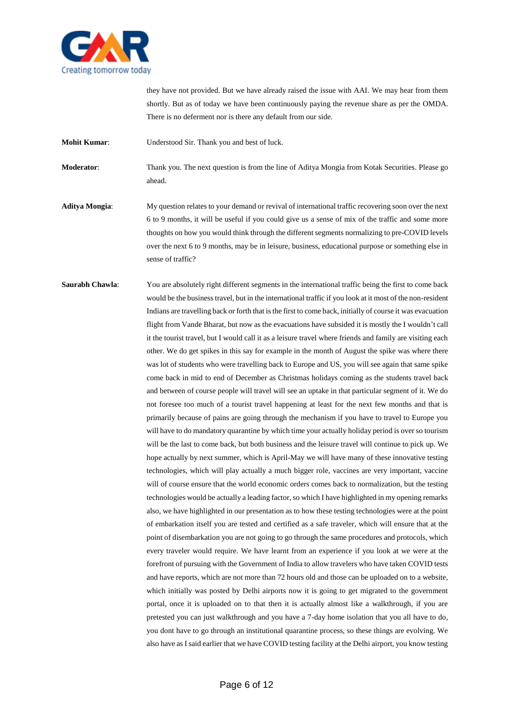

they have not provided. But we have already raised the issue with AAI. We may hear from them shortly. But as of today we have been continuously paying the revenue share as per the OMDA. There is no deferment nor is there any default from our side.

**Mohit Kumar**: Understood Sir. Thank you and best of luck.

**Moderator**: Thank you. The next question is from the line of Aditya Mongia from Kotak Securities. Please go ahead.

- **Aditya Mongia**: My question relates to your demand or revival of international traffic recovering soon over the next 6 to 9 months, it will be useful if you could give us a sense of mix of the traffic and some more thoughts on how you would think through the different segments normalizing to pre-COVID levels over the next 6 to 9 months, may be in leisure, business, educational purpose or something else in sense of traffic?
- **Saurabh Chawla:** You are absolutely right different segments in the international traffic being the first to come back would be the business travel, but in the international traffic if you look at it most of the non-resident Indians are travelling back or forth that is the first to come back, initially of course it was evacuation flight from Vande Bharat, but now as the evacuations have subsided it is mostly the I wouldn't call it the tourist travel, but I would call it as a leisure travel where friends and family are visiting each other. We do get spikes in this say for example in the month of August the spike was where there was lot of students who were travelling back to Europe and US, you will see again that same spike come back in mid to end of December as Christmas holidays coming as the students travel back and between of course people will travel will see an uptake in that particular segment of it. We do not foresee too much of a tourist travel happening at least for the next few months and that is primarily because of pains are going through the mechanism if you have to travel to Europe you will have to do mandatory quarantine by which time your actually holiday period is over so tourism will be the last to come back, but both business and the leisure travel will continue to pick up. We hope actually by next summer, which is April-May we will have many of these innovative testing technologies, which will play actually a much bigger role, vaccines are very important, vaccine will of course ensure that the world economic orders comes back to normalization, but the testing technologies would be actually a leading factor, so which I have highlighted in my opening remarks also, we have highlighted in our presentation as to how these testing technologies were at the point of embarkation itself you are tested and certified as a safe traveler, which will ensure that at the point of disembarkation you are not going to go through the same procedures and protocols, which every traveler would require. We have learnt from an experience if you look at we were at the forefront of pursuing with the Government of India to allow travelers who have taken COVID tests and have reports, which are not more than 72 hours old and those can be uploaded on to a website, which initially was posted by Delhi airports now it is going to get migrated to the government portal, once it is uploaded on to that then it is actually almost like a walkthrough, if you are pretested you can just walkthrough and you have a 7-day home isolation that you all have to do, you dont have to go through an institutional quarantine process, so these things are evolving. We also have as I said earlier that we have COVID testing facility at the Delhi airport, you know testing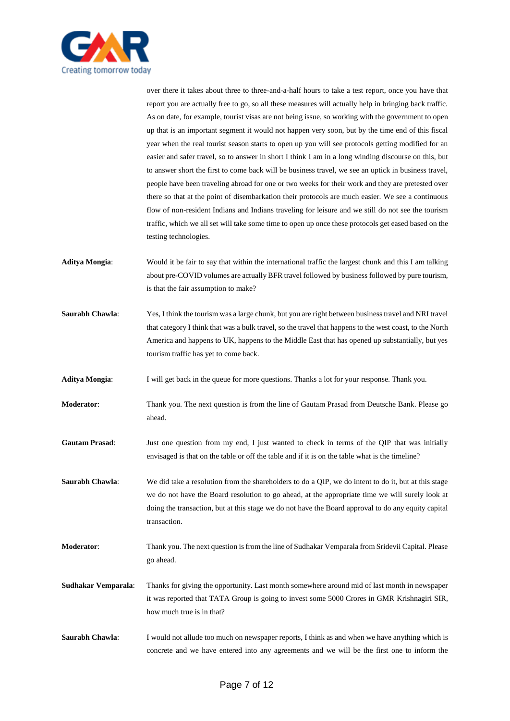

over there it takes about three to three-and-a-half hours to take a test report, once you have that report you are actually free to go, so all these measures will actually help in bringing back traffic. As on date, for example, tourist visas are not being issue, so working with the government to open up that is an important segment it would not happen very soon, but by the time end of this fiscal year when the real tourist season starts to open up you will see protocols getting modified for an easier and safer travel, so to answer in short I think I am in a long winding discourse on this, but to answer short the first to come back will be business travel, we see an uptick in business travel, people have been traveling abroad for one or two weeks for their work and they are pretested over there so that at the point of disembarkation their protocols are much easier. We see a continuous flow of non-resident Indians and Indians traveling for leisure and we still do not see the tourism traffic, which we all set will take some time to open up once these protocols get eased based on the testing technologies.

- **Aditya Mongia**: Would it be fair to say that within the international traffic the largest chunk and this I am talking about pre-COVID volumes are actually BFR travel followed by business followed by pure tourism, is that the fair assumption to make?
- **Saurabh Chawla:** Yes, I think the tourism was a large chunk, but you are right between business travel and NRI travel that category I think that was a bulk travel, so the travel that happens to the west coast, to the North America and happens to UK, happens to the Middle East that has opened up substantially, but yes tourism traffic has yet to come back.
- Aditya Mongia: I will get back in the queue for more questions. Thanks a lot for your response. Thank you.
- **Moderator**: Thank you. The next question is from the line of Gautam Prasad from Deutsche Bank. Please go ahead.
- Gautam Prasad: Just one question from my end, I just wanted to check in terms of the QIP that was initially envisaged is that on the table or off the table and if it is on the table what is the timeline?
- **Saurabh Chawla**: We did take a resolution from the shareholders to do a QIP, we do intent to do it, but at this stage we do not have the Board resolution to go ahead, at the appropriate time we will surely look at doing the transaction, but at this stage we do not have the Board approval to do any equity capital transaction.
- **Moderator**: Thank you. The next question is from the line of Sudhakar Vemparala from Sridevii Capital. Please go ahead.
- **Sudhakar Vemparala**: Thanks for giving the opportunity. Last month somewhere around mid of last month in newspaper it was reported that TATA Group is going to invest some 5000 Crores in GMR Krishnagiri SIR, how much true is in that?
- **Saurabh Chawla:** I would not allude too much on newspaper reports, I think as and when we have anything which is concrete and we have entered into any agreements and we will be the first one to inform the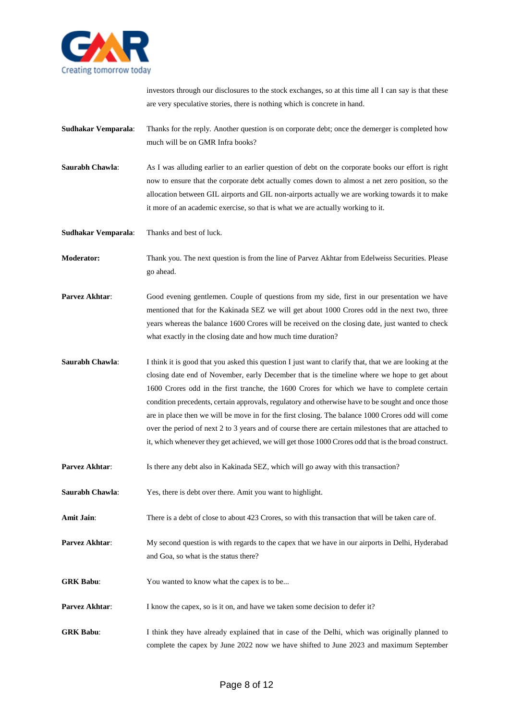

investors through our disclosures to the stock exchanges, so at this time all I can say is that these are very speculative stories, there is nothing which is concrete in hand.

**Sudhakar Vemparala**: Thanks for the reply. Another question is on corporate debt; once the demerger is completed how much will be on GMR Infra books?

**Saurabh Chawla:** As I was alluding earlier to an earlier question of debt on the corporate books our effort is right now to ensure that the corporate debt actually comes down to almost a net zero position, so the allocation between GIL airports and GIL non-airports actually we are working towards it to make it more of an academic exercise, so that is what we are actually working to it.

**Sudhakar Vemparala**: Thanks and best of luck.

**Moderator:** Thank you. The next question is from the line of Parvez Akhtar from Edelweiss Securities. Please go ahead.

**Parvez Akhtar:** Good evening gentlemen. Couple of questions from my side, first in our presentation we have mentioned that for the Kakinada SEZ we will get about 1000 Crores odd in the next two, three years whereas the balance 1600 Crores will be received on the closing date, just wanted to check what exactly in the closing date and how much time duration?

**Saurabh Chawla:** I think it is good that you asked this question I just want to clarify that, that we are looking at the closing date end of November, early December that is the timeline where we hope to get about 1600 Crores odd in the first tranche, the 1600 Crores for which we have to complete certain condition precedents, certain approvals, regulatory and otherwise have to be sought and once those are in place then we will be move in for the first closing. The balance 1000 Crores odd will come over the period of next 2 to 3 years and of course there are certain milestones that are attached to it, which whenever they get achieved, we will get those 1000 Crores odd that is the broad construct.

**Parvez Akhtar:** Is there any debt also in Kakinada SEZ, which will go away with this transaction?

**Saurabh Chawla**: Yes, there is debt over there. Amit you want to highlight.

Amit Jain: There is a debt of close to about 423 Crores, so with this transaction that will be taken care of.

**Parvez Akhtar:** My second question is with regards to the capex that we have in our airports in Delhi, Hyderabad and Goa, so what is the status there?

**GRK Babu:** You wanted to know what the capex is to be...

**Parvez Akhtar:** I know the capex, so is it on, and have we taken some decision to defer it?

**GRK Babu**: I think they have already explained that in case of the Delhi, which was originally planned to complete the capex by June 2022 now we have shifted to June 2023 and maximum September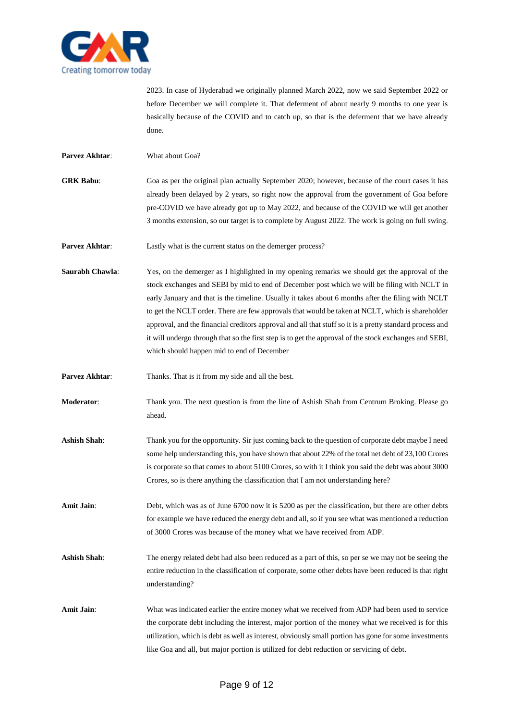

2023. In case of Hyderabad we originally planned March 2022, now we said September 2022 or before December we will complete it. That deferment of about nearly 9 months to one year is basically because of the COVID and to catch up, so that is the deferment that we have already done.

**Parvez Akhtar**: What about Goa?

- **GRK Babu**: Goa as per the original plan actually September 2020; however, because of the court cases it has already been delayed by 2 years, so right now the approval from the government of Goa before pre-COVID we have already got up to May 2022, and because of the COVID we will get another 3 months extension, so our target is to complete by August 2022. The work is going on full swing.
- **Parvez Akhtar:** Lastly what is the current status on the demerger process?
- **Saurabh Chawla:** Yes, on the demerger as I highlighted in my opening remarks we should get the approval of the stock exchanges and SEBI by mid to end of December post which we will be filing with NCLT in early January and that is the timeline. Usually it takes about 6 months after the filing with NCLT to get the NCLT order. There are few approvals that would be taken at NCLT, which is shareholder approval, and the financial creditors approval and all that stuff so it is a pretty standard process and it will undergo through that so the first step is to get the approval of the stock exchanges and SEBI, which should happen mid to end of December
- **Parvez Akhtar:** Thanks. That is it from my side and all the best.
- **Moderator**: Thank you. The next question is from the line of Ashish Shah from Centrum Broking. Please go ahead.
- **Ashish Shah**: Thank you for the opportunity. Sir just coming back to the question of corporate debt maybe I need some help understanding this, you have shown that about 22% of the total net debt of 23,100 Crores is corporate so that comes to about 5100 Crores, so with it I think you said the debt was about 3000 Crores, so is there anything the classification that I am not understanding here?
- **Amit Jain**: Debt, which was as of June 6700 now it is 5200 as per the classification, but there are other debts for example we have reduced the energy debt and all, so if you see what was mentioned a reduction of 3000 Crores was because of the money what we have received from ADP.
- Ashish Shah: The energy related debt had also been reduced as a part of this, so per se we may not be seeing the entire reduction in the classification of corporate, some other debts have been reduced is that right understanding?
- Amit Jain: What was indicated earlier the entire money what we received from ADP had been used to service the corporate debt including the interest, major portion of the money what we received is for this utilization, which is debt as well as interest, obviously small portion has gone for some investments like Goa and all, but major portion is utilized for debt reduction or servicing of debt.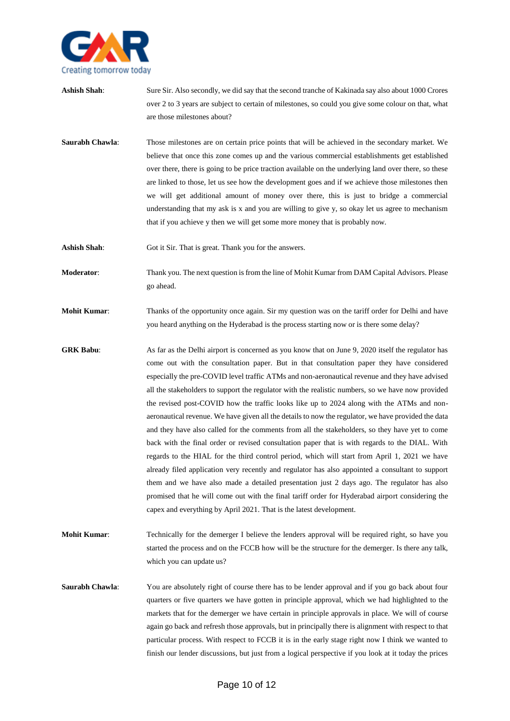

- Ashish Shah: Sure Sir. Also secondly, we did say that the second tranche of Kakinada say also about 1000 Crores over 2 to 3 years are subject to certain of milestones, so could you give some colour on that, what are those milestones about?
- **Saurabh Chawla**: Those milestones are on certain price points that will be achieved in the secondary market. We believe that once this zone comes up and the various commercial establishments get established over there, there is going to be price traction available on the underlying land over there, so these are linked to those, let us see how the development goes and if we achieve those milestones then we will get additional amount of money over there, this is just to bridge a commercial understanding that my ask is x and you are willing to give y, so okay let us agree to mechanism that if you achieve y then we will get some more money that is probably now.
- Ashish Shah: Got it Sir. That is great. Thank you for the answers.
- **Moderator**: Thank you. The next question is from the line of Mohit Kumar from DAM Capital Advisors. Please go ahead.
- **Mohit Kumar:** Thanks of the opportunity once again. Sir my question was on the tariff order for Delhi and have you heard anything on the Hyderabad is the process starting now or is there some delay?
- **GRK Babu**: As far as the Delhi airport is concerned as you know that on June 9, 2020 itself the regulator has come out with the consultation paper. But in that consultation paper they have considered especially the pre-COVID level traffic ATMs and non-aeronautical revenue and they have advised all the stakeholders to support the regulator with the realistic numbers, so we have now provided the revised post-COVID how the traffic looks like up to 2024 along with the ATMs and nonaeronautical revenue. We have given all the details to now the regulator, we have provided the data and they have also called for the comments from all the stakeholders, so they have yet to come back with the final order or revised consultation paper that is with regards to the DIAL. With regards to the HIAL for the third control period, which will start from April 1, 2021 we have already filed application very recently and regulator has also appointed a consultant to support them and we have also made a detailed presentation just 2 days ago. The regulator has also promised that he will come out with the final tariff order for Hyderabad airport considering the capex and everything by April 2021. That is the latest development.
- **Mohit Kumar:** Technically for the demerger I believe the lenders approval will be required right, so have you started the process and on the FCCB how will be the structure for the demerger. Is there any talk, which you can update us?
- **Saurabh Chawla:** You are absolutely right of course there has to be lender approval and if you go back about four quarters or five quarters we have gotten in principle approval, which we had highlighted to the markets that for the demerger we have certain in principle approvals in place. We will of course again go back and refresh those approvals, but in principally there is alignment with respect to that particular process. With respect to FCCB it is in the early stage right now I think we wanted to finish our lender discussions, but just from a logical perspective if you look at it today the prices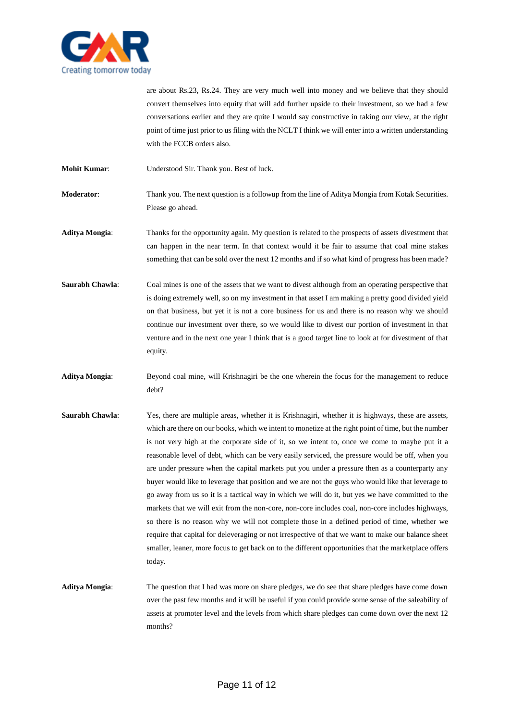

are about Rs.23, Rs.24. They are very much well into money and we believe that they should convert themselves into equity that will add further upside to their investment, so we had a few conversations earlier and they are quite I would say constructive in taking our view, at the right point of time just prior to us filing with the NCLT I think we will enter into a written understanding with the FCCB orders also.

**Mohit Kumar**: Understood Sir. Thank you. Best of luck.

- **Moderator**: Thank you. The next question is a followup from the line of Aditya Mongia from Kotak Securities. Please go ahead.
- **Aditya Mongia**: Thanks for the opportunity again. My question is related to the prospects of assets divestment that can happen in the near term. In that context would it be fair to assume that coal mine stakes something that can be sold over the next 12 months and if so what kind of progress has been made?
- **Saurabh Chawla**: Coal mines is one of the assets that we want to divest although from an operating perspective that is doing extremely well, so on my investment in that asset I am making a pretty good divided yield on that business, but yet it is not a core business for us and there is no reason why we should continue our investment over there, so we would like to divest our portion of investment in that venture and in the next one year I think that is a good target line to look at for divestment of that equity.
- **Aditya Mongia**: Beyond coal mine, will Krishnagiri be the one wherein the focus for the management to reduce debt?
- **Saurabh Chawla:** Yes, there are multiple areas, whether it is Krishnagiri, whether it is highways, these are assets, which are there on our books, which we intent to monetize at the right point of time, but the number is not very high at the corporate side of it, so we intent to, once we come to maybe put it a reasonable level of debt, which can be very easily serviced, the pressure would be off, when you are under pressure when the capital markets put you under a pressure then as a counterparty any buyer would like to leverage that position and we are not the guys who would like that leverage to go away from us so it is a tactical way in which we will do it, but yes we have committed to the markets that we will exit from the non-core, non-core includes coal, non-core includes highways, so there is no reason why we will not complete those in a defined period of time, whether we require that capital for deleveraging or not irrespective of that we want to make our balance sheet smaller, leaner, more focus to get back on to the different opportunities that the marketplace offers today.
- **Aditya Mongia**: The question that I had was more on share pledges, we do see that share pledges have come down over the past few months and it will be useful if you could provide some sense of the saleability of assets at promoter level and the levels from which share pledges can come down over the next 12 months?